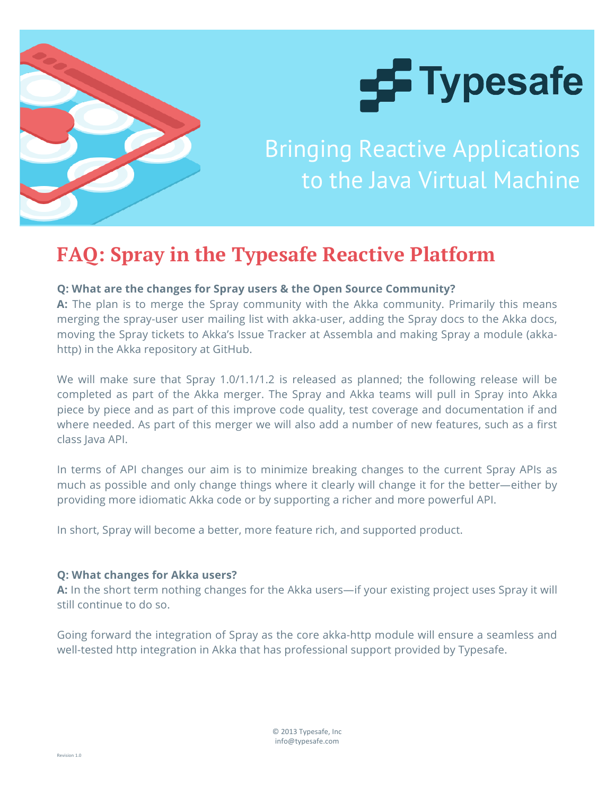



Bringing Reactive Applications to the Java Virtual Machine

# **FAQ: Spray in the Typesafe Reactive Platform**

# **Q: What are the changes for Spray users & the Open Source Community?**

**A:** The plan is to merge the Spray community with the Akka community. Primarily this means merging the spray-user user mailing list with akka-user, adding the Spray docs to the Akka docs, moving the Spray tickets to Akka's Issue Tracker at Assembla and making Spray a module (akkahttp) in the Akka repository at GitHub.

We will make sure that Spray 1.0/1.1/1.2 is released as planned; the following release will be completed as part of the Akka merger. The Spray and Akka teams will pull in Spray into Akka piece by piece and as part of this improve code quality, test coverage and documentation if and where needed. As part of this merger we will also add a number of new features, such as a first class Java API.

In terms of API changes our aim is to minimize breaking changes to the current Spray APIs as much as possible and only change things where it clearly will change it for the better—either by providing more idiomatic Akka code or by supporting a richer and more powerful API.

In short, Spray will become a better, more feature rich, and supported product.

# **Q: What changes for Akka users?**

**A:** In the short term nothing changes for the Akka users—if your existing project uses Spray it will still continue to do so.

Going forward the integration of Spray as the core akka-http module will ensure a seamless and well-tested http integration in Akka that has professional support provided by Typesafe.